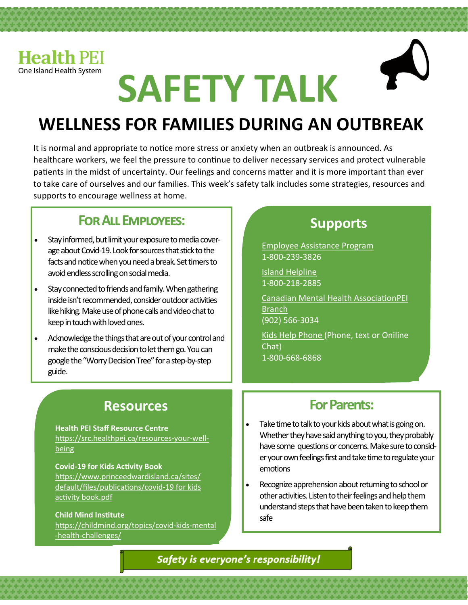

# **SAFETY TALK**

## **WELLNESS FOR FAMILIES DURING AN OUTBREAK**

It is normal and appropriate to notice more stress or anxiety when an outbreak is announced. As healthcare workers, we feel the pressure to continue to deliver necessary services and protect vulnerable patients in the midst of uncertainty. Our feelings and concerns matter and it is more important than ever to take care of ourselves and our families. This week's safety talk includes some strategies, resources and supports to encourage wellness at home.

## **For All Employees:**

- Stay informed, but limit your exposure to media coverage about Covid-19. Look for sources that stick to the facts and notice when you need a break. Set timers to avoid endless scrolling on social media.
- Stay connected to friends and family. When gathering inside isn't recommended, consider outdoor activities like hiking. Make use of phone calls and video chat to keep in touch with loved ones.
- Acknowledge the things that are out of your control and make the conscious decision to let them go. You can google the "Worry Decision Tree" for a step-by-step guide.

## **Supports**

Employee Assistance Program 1-800-239-3826

Island Helpline 1-800-218-2885

Canadian Mental Health AssociationPEI **Branch** (902) 566-3034

Kids Help Phone (Phone, text or Oniline Chat) 1-800-668-6868

## **Resources**

#### **Health PEI Staff Resource Centre** https://src.healthpei.ca/resources-your-wellbeing

#### **Covid-19 for Kids Activity Book**

https://www.princeedwardisland.ca/sites/ default/files/publications/covid-19 for kids activity book.pdf

#### **Child Mind Institute**

https://childmind.org/topics/covid-kids-mental -health-challenges/

## **For Parents:**

- Take time to talk to your kids about what is going on. Whether they have said anything to you, they probably have some questions or concerns. Make sure to consider your own feelings first and take time to regulate your emotions
- Recognize apprehension about returning to school or other activities. Listen to their feelings and help them understand steps that have been taken to keep them safe

Safety is everyone's responsibility!